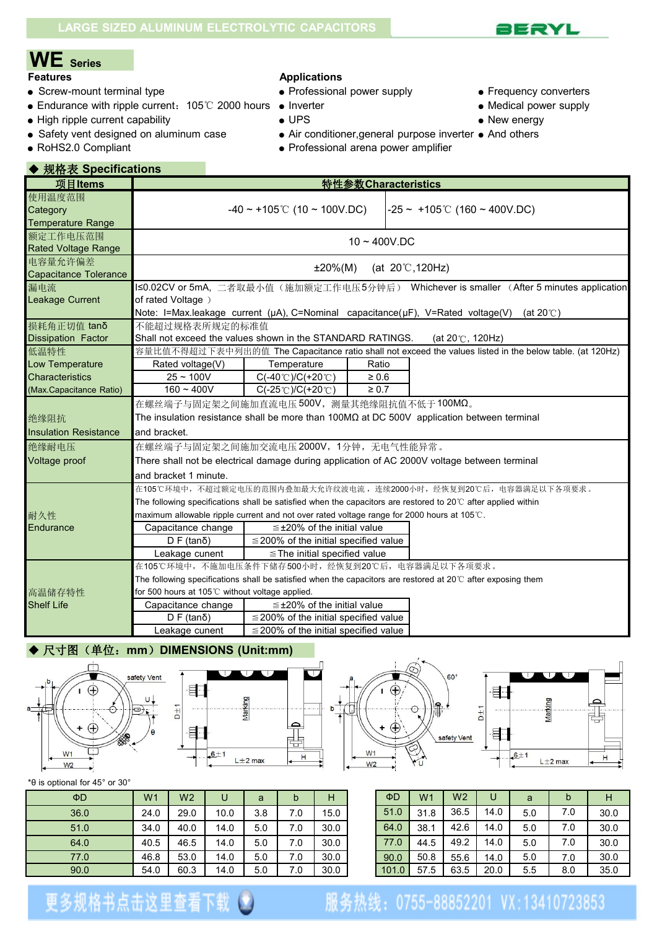

# **WE Series**

- Screw-mount terminal type <br>• Professional power supply **•** Frequency converters
- Endurance with ripple current: 105℃ 2000 hours Inverter Nedical power supply Medical power supply High ripple current capability UPS
- High ripple current capability  $\bullet$  UPS  $\bullet$  New energy
- 
- 

### ◆ 规格表 **Specifications**

#### **Applications**

- -
- 
- 
- 
- Safety vent designed on aluminum case Air conditioner, general purpose inverter And others
- RoHS2.0 Compliant Professional arena power amplifier

| 项目Items                                                                      |                                                                                                                                                                |                                                                                                                              | 特性参数 Characteristics              |                                                                                                                                                                                                   |
|------------------------------------------------------------------------------|----------------------------------------------------------------------------------------------------------------------------------------------------------------|------------------------------------------------------------------------------------------------------------------------------|-----------------------------------|---------------------------------------------------------------------------------------------------------------------------------------------------------------------------------------------------|
| 使用温度范围<br>Category<br><b>Temperature Range</b>                               |                                                                                                                                                                | $-40 \sim +105$ °C (10 ~ 100V.DC)                                                                                            |                                   | $-25 \sim +105$ °C (160 ~ 400V.DC)                                                                                                                                                                |
| 额定工作电压范围<br><b>Rated Voltage Range</b>                                       |                                                                                                                                                                |                                                                                                                              | $10 - 400$ V.DC                   |                                                                                                                                                                                                   |
| 电容量允许偏差<br>Capacitance Tolerance                                             |                                                                                                                                                                | $±20\%(M)$                                                                                                                   |                                   | (at $20^{\circ}$ C, 120Hz)                                                                                                                                                                        |
| 漏电流<br>Leakage Current                                                       | of rated Voltage)                                                                                                                                              |                                                                                                                              |                                   | I≤0.02CV or 5mA, 二者取最小值(施加额定工作电压5分钟后) Whichever is smaller (After 5 minutes application<br>Note: I=Max.leakage current (µA), C=Nominal capacitance(µF), V=Rated voltage(V) (at 20℃)               |
| 损耗角正切值 tanδ<br><b>Dissipation Factor</b>                                     | 不能超过规格表所规定的标准值<br>Shall not exceed the values shown in the STANDARD RATINGS.                                                                                   |                                                                                                                              |                                   | (at $20^\circ$ C, 120Hz)                                                                                                                                                                          |
| 低温特性<br>Low Temperature<br><b>Characteristics</b><br>(Max.Capacitance Ratio) | Rated voltage(V)<br>$25 - 100V$<br>$160 - 400V$                                                                                                                | Temperature<br>$C(-40^{\circ}C)/C(+20^{\circ}C)$<br>$C(-25^{\circ}C)/C(+20^{\circ}C)$                                        | Ratio<br>$\geq 0.6$<br>$\geq 0.7$ | 容量比值不得超过下表中列出的值 The Capacitance ratio shall not exceed the values listed in the below table. (at 120Hz)                                                                                           |
| 绝缘阻抗<br><b>Insulation Resistance</b><br>绝缘耐电压<br>Voltage proof               | 在螺丝端子与固定架之间施加直流电压500V, 测量其绝缘阻抗值不低于100MΩ。<br>and bracket.<br>在螺丝端子与固定架之间施加交流电压 2000V, 1分钟, 无电气性能异常。<br>and bracket 1 minute.                                    |                                                                                                                              |                                   | The insulation resistance shall be more than $100M\Omega$ at DC 500V application between terminal<br>There shall not be electrical damage during application of AC 2000V voltage between terminal |
| 耐久性<br>Endurance                                                             | maximum allowable ripple current and not over rated voltage range for 2000 hours at 105℃.<br>Capacitance change<br>$D F (tan \delta)$<br>Leakage cunent        | $\leq$ ±20% of the initial value<br>$\leq$ 200% of the initial specified value<br>$\le$ The initial specified value          |                                   | 在105℃环境中,不超过额定电压的范围内叠加最大允许纹波电流,连续2000小时,经恢复到20℃后,电容器满足以下各项要求。<br>The following specifications shall be satisfied when the capacitors are restored to 20 $\degree$ after applied within            |
| 高温储存特性<br><b>Shelf Life</b>                                                  | 在105℃环境中,不施加电压条件下储存500小时,经恢复到20℃后,电容器满足以下各项要求。<br>for 500 hours at 105℃ without voltage applied.<br>Capacitance change<br>$D F (tan \delta)$<br>Leakage cunent | $\leq$ ±20% of the initial value<br>$\leq$ 200% of the initial specified value<br>$\leq$ 200% of the initial specified value |                                   | The following specifications shall be satisfied when the capacitors are restored at 20℃ after exposing them                                                                                       |

#### ◆ 尺寸图(单位: mm) DIMENSIONS (Unit:mm)









\*θ is optional for 45° or 30°

| $\Phi$ D | W <sub>1</sub> | W <sub>2</sub> | U    | a   | h   | Н    | $\Phi$ D | W <sub>1</sub> | W <sub>2</sub> | U    | a   | b   | н    |  |
|----------|----------------|----------------|------|-----|-----|------|----------|----------------|----------------|------|-----|-----|------|--|
| 36.0     | 24.0           | 29.0           | 10.0 | 3.8 | 7.0 | 15.0 | 51.0     | 31.8           | 36.5           | 14.0 | 5.0 | 7.0 | 30.0 |  |
| 51.0     | 34.0           | 40.0           | 14.0 | 5.0 | 7.0 | 30.0 | 64.0     | 38.1           | 42.6           | 14.0 | 5.0 | 7.0 | 30.0 |  |
| 64.0     | 40.5           | 46.5           | 14.0 | 5.0 | 7.0 | 30.0 | 77.0     | 44.5           | 49.2           | 14.0 | 5.0 | 7.0 | 30.0 |  |
| 77.0     | 46.8           | 53.0           | 14.0 | 5.0 | 7.0 | 30.0 | 90.0     | 50.8           | 55.6           | 14.0 | 5.0 | 7.0 | 30.0 |  |
| 90.0     | 54.0           | 60.3           | 14.0 | 5.0 | 7.0 | 30.0 | 101.0    | 57.5           | 63.5           | 20.0 | 5.5 | 8.0 | 35.0 |  |

| ΦD    | W <sub>1</sub> | W <sub>2</sub> | U    | a   | b   |      |
|-------|----------------|----------------|------|-----|-----|------|
| 51.0  | 31.8           | 36.5           | 14.0 | 5.0 | 7.0 | 30.0 |
| 64.0  | 38.1           | 42.6           | 14.0 | 5.0 | 7.0 | 30.0 |
| 77.0  | 44.5           | 49.2           | 14.0 | 5.0 | 7.0 | 30.0 |
| 90.0  | 50.8           | 55.6           | 14.0 | 5.0 | 7.0 | 30.0 |
| 101.0 | 57.5           | 63.5           | 20.0 | 5.5 | 8.0 | 35.0 |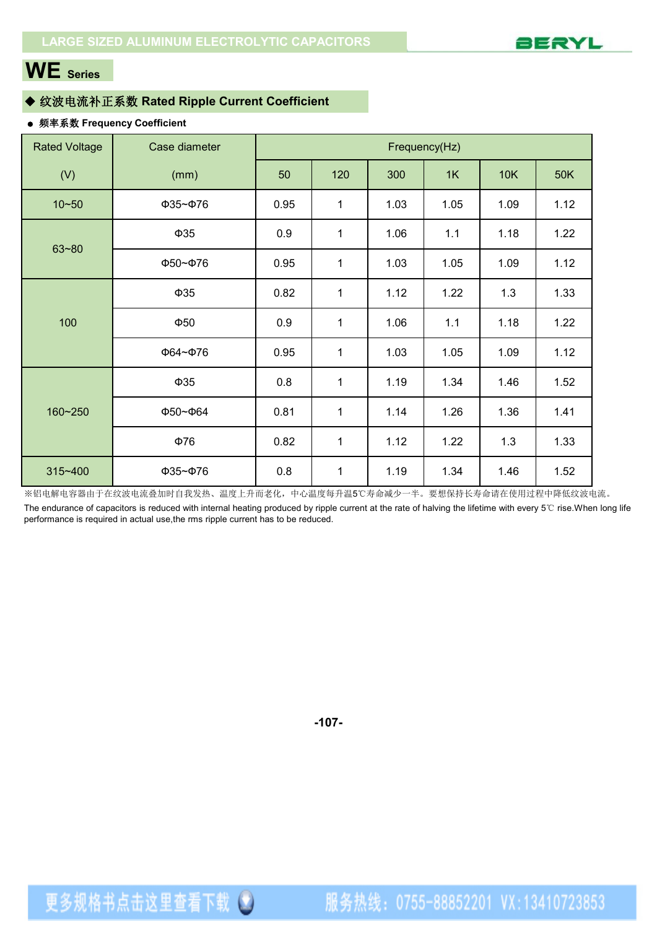

# **WE Series**

#### ◆ 纹波电流补正系数 **Rated Ripple Current Coefficient**

更多规格书点击这里查看下载(2)

#### ● 频率系数 **Frequency Coefficient**

| <b>Rated Voltage</b> | Case diameter        |     | Frequency(Hz)<br>50<br>120<br>300<br>1K<br>10K<br>50K<br>0.95<br>$\mathbf{1}$<br>1.03<br>1.12<br>1.05<br>1.09<br>0.9<br>1.18<br>1.22<br>$\mathbf 1$<br>1.06<br>1.1<br>0.95<br>1.03<br>1.05<br>1.09<br>1.12<br>$\mathbf 1$<br>0.82<br>1.3<br>$\mathbf{1}$<br>1.12<br>1.22<br>1.33<br>0.9<br>$\mathbf 1$<br>1.18<br>1.22<br>1.06<br>1.1<br>0.95<br>$\mathbf 1$<br>1.03<br>1.05<br>1.09<br>1.12<br>0.8<br>1.19<br>1.52<br>$\mathbf 1$<br>1.34<br>1.46<br>0.81<br>1.14<br>1.36<br>1.41<br>$\mathbf 1$<br>1.26<br>0.82<br>$\mathbf 1$<br>1.12<br>1.3<br>1.33<br>1.22 |      |      |      |      |  |  |  |  |  |  |  |  |  |  |  |  |
|----------------------|----------------------|-----|-----------------------------------------------------------------------------------------------------------------------------------------------------------------------------------------------------------------------------------------------------------------------------------------------------------------------------------------------------------------------------------------------------------------------------------------------------------------------------------------------------------------------------------------------------------------|------|------|------|------|--|--|--|--|--|--|--|--|--|--|--|--|
| (V)                  | (mm)                 |     |                                                                                                                                                                                                                                                                                                                                                                                                                                                                                                                                                                 |      |      |      |      |  |  |  |  |  |  |  |  |  |  |  |  |
| $10 - 50$            | ФЗ5~Ф76              |     |                                                                                                                                                                                                                                                                                                                                                                                                                                                                                                                                                                 |      |      |      |      |  |  |  |  |  |  |  |  |  |  |  |  |
| $63 - 80$            | $\Phi$ 35            |     |                                                                                                                                                                                                                                                                                                                                                                                                                                                                                                                                                                 |      |      |      |      |  |  |  |  |  |  |  |  |  |  |  |  |
|                      | Ф50~Ф76              |     |                                                                                                                                                                                                                                                                                                                                                                                                                                                                                                                                                                 |      |      |      |      |  |  |  |  |  |  |  |  |  |  |  |  |
|                      | $\Phi$ 35            |     |                                                                                                                                                                                                                                                                                                                                                                                                                                                                                                                                                                 |      |      |      |      |  |  |  |  |  |  |  |  |  |  |  |  |
| 100                  | $\Phi$ 50            |     |                                                                                                                                                                                                                                                                                                                                                                                                                                                                                                                                                                 |      |      |      |      |  |  |  |  |  |  |  |  |  |  |  |  |
|                      | Ф64~Ф76              |     |                                                                                                                                                                                                                                                                                                                                                                                                                                                                                                                                                                 |      |      |      |      |  |  |  |  |  |  |  |  |  |  |  |  |
|                      | $\Phi$ 35            |     |                                                                                                                                                                                                                                                                                                                                                                                                                                                                                                                                                                 |      |      |      |      |  |  |  |  |  |  |  |  |  |  |  |  |
| 160~250              | $\Phi$ 50~ $\Phi$ 64 |     |                                                                                                                                                                                                                                                                                                                                                                                                                                                                                                                                                                 |      |      |      |      |  |  |  |  |  |  |  |  |  |  |  |  |
|                      | $\Phi$ 76            |     |                                                                                                                                                                                                                                                                                                                                                                                                                                                                                                                                                                 |      |      |      |      |  |  |  |  |  |  |  |  |  |  |  |  |
| 315~400              | ФЗ5~Ф76              | 0.8 | $\mathbf 1$                                                                                                                                                                                                                                                                                                                                                                                                                                                                                                                                                     | 1.19 | 1.34 | 1.46 | 1.52 |  |  |  |  |  |  |  |  |  |  |  |  |

※铝电解电容器由于在纹波电流叠加时自我发热、温度上升而老化,中心温度每升温5℃寿命减少一半。要想保持长寿命请在使用过程中降低纹波电流。 The endurance of capacitors is reduced with internal heating produced by ripple current at the rate of halving the lifetime with every 5℃ rise.When long life performance is required in actual use,the rms ripple current has to be reduced.

**-107-**

服务热线: 0755-88852201 VX:13410723853